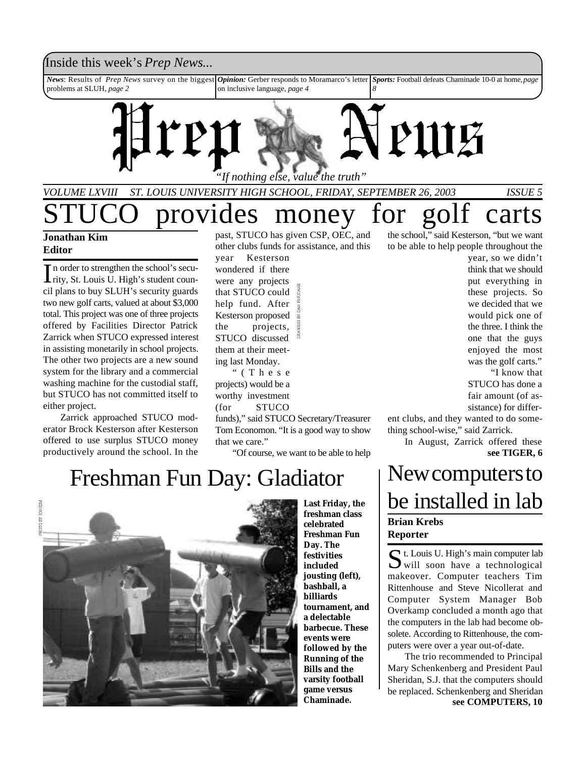### Inside this week's *Prep News*...

*News*: Results of *Prep News* survey on the biggest problems at SLUH, *page 2 Opinion:* Gerber responds to Moramarco's letter on inclusive language, *page 4 Sports:* Football defeats Chaminade 10-0 at home, *page 8*



*VOLUME LXVIII ST. LOUIS UNIVERSITY HIGH SCHOOL, FRIDAY, SEPTEMBER 26, 2003 ISSUE 5*

## provides money for golf carts **Jonathan Kim**

### **Editor**

In order to strengthen the school's secu-<br>rity, St. Louis U. High's student counn order to strengthen the school's secucil plans to buy SLUH's security guards two new golf carts, valued at about \$3,000 total. This project was one of three projects offered by Facilities Director Patrick Zarrick when STUCO expressed interest in assisting monetarily in school projects. The other two projects are a new sound system for the library and a commercial washing machine for the custodial staff, but STUCO has not committed itself to either project.

Zarrick approached STUCO moderator Brock Kesterson after Kesterson offered to use surplus STUCO money productively around the school. In the

past, STUCO has given CSP, OEC, and other clubs funds for assistance, and this

year Kesterson wondered if there were any projects that STUCO could help fund. After Kesterson proposed the projects, STUCO discussed them at their meeting last Monday.

" ( T h e s e projects) would be a worthy investment (for STUCO

funds)," said STUCO Secretary/Treasurer Tom Economon. "It is a good way to show that we care."

"Of course, we want to be able to help

the school," said Kesterson, "but we want to be able to help people throughout the

year, so we didn't think that we should put everything in these projects. So we decided that we would pick one of the three. I think the one that the guys enjoyed the most was the golf carts." "I know that

STUCO has done a fair amount (of assistance) for differ-

ent clubs, and they wanted to do something school-wise," said Zarrick.

> In August, Zarrick offered these **see TIGER, 6**

## New computers to be installed in lab **Brian Krebs Reporter**

St. Louis U. High's main computer lab will soon have a technological  $\sum$  will soon have a technological makeover. Computer teachers Tim Rittenhouse and Steve Nicollerat and Computer System Manager Bob Overkamp concluded a month ago that the computers in the lab had become obsolete. According to Rittenhouse, the computers were over a year out-of-date.

The trio recommended to Principal Mary Schenkenberg and President Paul Sheridan, S.J. that the computers should be replaced. Schenkenberg and Sheridan **see COMPUTERS, 10**

# Freshman Fun Day: Gladiator **Last Friday, the**



**freshman class celebrated Freshman Fun Day. The festivities included jousting (left), bashball, a billiards tournament, and a delectable barbecue. These events were followed by the Running of the Bills and the varsity football game versus Chaminade.**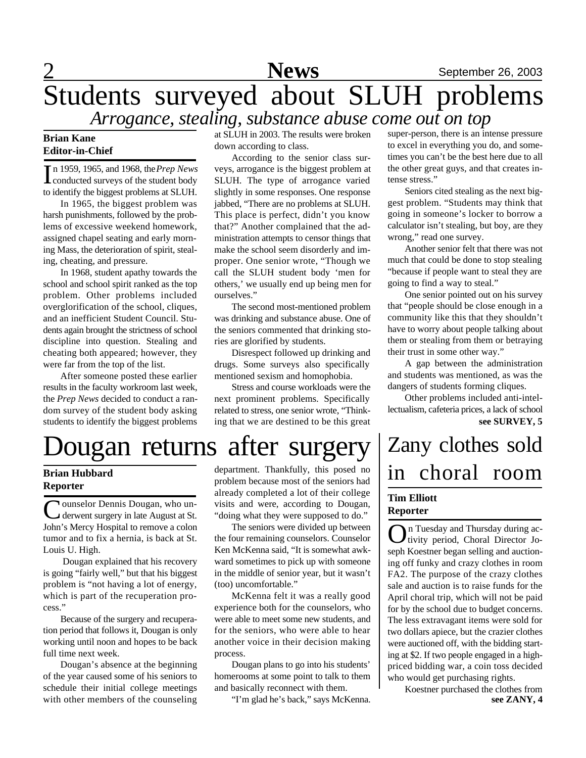# $2$  September 26, 2003 Students surveyed about SLUH problems *Arrogance, stealing, substance abuse come out on top*

### **Brian Kane Editor-in-Chief**

In 1959, 1965, and 1968, the *Prep News*<br>Conducted surveys of the student body conducted surveys of the student body to identify the biggest problems at SLUH.

In 1965, the biggest problem was harsh punishments, followed by the problems of excessive weekend homework, assigned chapel seating and early morning Mass, the deterioration of spirit, stealing, cheating, and pressure.

In 1968, student apathy towards the school and school spirit ranked as the top problem. Other problems included overglorification of the school, cliques, and an inefficient Student Council. Students again brought the strictness of school discipline into question. Stealing and cheating both appeared; however, they were far from the top of the list.

After someone posted these earlier results in the faculty workroom last week, the *Prep News* decided to conduct a random survey of the student body asking students to identify the biggest problems

at SLUH in 2003. The results were broken down according to class.

According to the senior class surveys, arrogance is the biggest problem at SLUH. The type of arrogance varied slightly in some responses. One response jabbed, "There are no problems at SLUH. This place is perfect, didn't you know that?" Another complained that the administration attempts to censor things that make the school seem disorderly and improper. One senior wrote, "Though we call the SLUH student body 'men for others,' we usually end up being men for ourselves."

The second most-mentioned problem was drinking and substance abuse. One of

Disrespect followed up drinking and drugs. Some surveys also specifically mentioned sexism and homophobia.

next prominent problems. Specifically related to stress, one senior wrote, "Thinking that we are destined to be this great

## the seniors commented that drinking stories are glorified by students.

Stress and course workloads were the

# Dougan returns after surgery Zany clothes sold

### **Brian Hubbard Reporter**

Counselor Dennis Dougan, who un-<br>derwent surgery in late August at St. derwent surgery in late August at St. John's Mercy Hospital to remove a colon tumor and to fix a hernia, is back at St. Louis U. High.

 Dougan explained that his recovery is going "fairly well," but that his biggest problem is "not having a lot of energy, which is part of the recuperation process."

Because of the surgery and recuperation period that follows it, Dougan is only working until noon and hopes to be back full time next week.

Dougan's absence at the beginning of the year caused some of his seniors to schedule their initial college meetings with other members of the counseling

department. Thankfully, this posed no problem because most of the seniors had already completed a lot of their college visits and were, according to Dougan, "doing what they were supposed to do."

The seniors were divided up between the four remaining counselors. Counselor Ken McKenna said, "It is somewhat awkward sometimes to pick up with someone in the middle of senior year, but it wasn't (too) uncomfortable."

McKenna felt it was a really good experience both for the counselors, who were able to meet some new students, and for the seniors, who were able to hear another voice in their decision making process.

Dougan plans to go into his students' homerooms at some point to talk to them and basically reconnect with them.

"I'm glad he's back," says McKenna.

super-person, there is an intense pressure to excel in everything you do, and sometimes you can't be the best here due to all the other great guys, and that creates intense stress."

Seniors cited stealing as the next biggest problem. "Students may think that going in someone's locker to borrow a calculator isn't stealing, but boy, are they wrong," read one survey.

Another senior felt that there was not much that could be done to stop stealing "because if people want to steal they are going to find a way to steal."

One senior pointed out on his survey that "people should be close enough in a community like this that they shouldn't have to worry about people talking about them or stealing from them or betraying their trust in some other way."

A gap between the administration and students was mentioned, as was the dangers of students forming cliques.

Other problems included anti-intellectualism, cafeteria prices, a lack of school **see SURVEY, 5**

# in choral room **Tim Elliott Reporter**

On Tuesday and Thursday during activity period, Choral Director Jotivity period, Choral Director Joseph Koestner began selling and auctioning off funky and crazy clothes in room FA2. The purpose of the crazy clothes sale and auction is to raise funds for the April choral trip, which will not be paid for by the school due to budget concerns. The less extravagant items were sold for two dollars apiece, but the crazier clothes were auctioned off, with the bidding starting at \$2. If two people engaged in a highpriced bidding war, a coin toss decided who would get purchasing rights.

> Koestner purchased the clothes from **see ZANY, 4**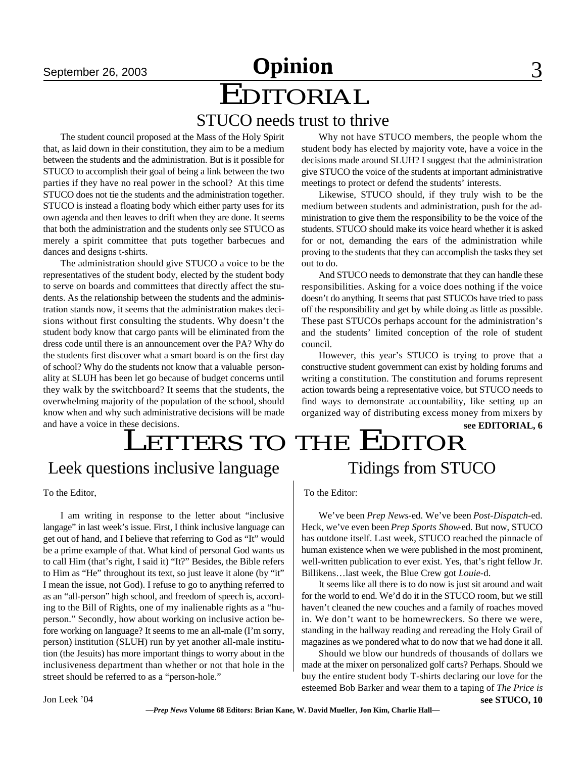# **September 26, 2003 Opinion** 3

# EDITORIAL

STUCO needs trust to thrive

The student council proposed at the Mass of the Holy Spirit that, as laid down in their constitution, they aim to be a medium between the students and the administration. But is it possible for STUCO to accomplish their goal of being a link between the two parties if they have no real power in the school? At this time STUCO does not tie the students and the administration together. STUCO is instead a floating body which either party uses for its own agenda and then leaves to drift when they are done. It seems that both the administration and the students only see STUCO as merely a spirit committee that puts together barbecues and dances and designs t-shirts.

The administration should give STUCO a voice to be the representatives of the student body, elected by the student body to serve on boards and committees that directly affect the students. As the relationship between the students and the administration stands now, it seems that the administration makes decisions without first consulting the students. Why doesn't the student body know that cargo pants will be eliminated from the dress code until there is an announcement over the PA? Why do the students first discover what a smart board is on the first day of school? Why do the students not know that a valuable personality at SLUH has been let go because of budget concerns until they walk by the switchboard? It seems that the students, the overwhelming majority of the population of the school, should know when and why such administrative decisions will be made and have a voice in these decisions.

#### responsibilities. Asking for a voice does nothing if the voice doesn't do anything. It seems that past STUCOs have tried to pass off the responsibility and get by while doing as little as possible. These past STUCOs perhaps account for the administration's

out to do.

council. However, this year's STUCO is trying to prove that a constructive student government can exist by holding forums and writing a constitution. The constitution and forums represent action towards being a representative voice, but STUCO needs to find ways to demonstrate accountability, like setting up an organized way of distributing excess money from mixers by

and the students' limited conception of the role of student

Why not have STUCO members, the people whom the student body has elected by majority vote, have a voice in the decisions made around SLUH? I suggest that the administration give STUCO the voice of the students at important administrative

Likewise, STUCO should, if they truly wish to be the medium between students and administration, push for the administration to give them the responsibility to be the voice of the students. STUCO should make its voice heard whether it is asked for or not, demanding the ears of the administration while proving to the students that they can accomplish the tasks they set

And STUCO needs to demonstrate that they can handle these

meetings to protect or defend the students' interests.

#### **see EDITORIAL, 6**

# LETTERS TO THE EDITOR

### Leek questions inclusive language

To the Editor,

I am writing in response to the letter about "inclusive langage" in last week's issue. First, I think inclusive language can get out of hand, and I believe that referring to God as "It" would be a prime example of that. What kind of personal God wants us to call Him (that's right, I said it) "It?" Besides, the Bible refers to Him as "He" throughout its text, so just leave it alone (by "it" I mean the issue, not God). I refuse to go to anything referred to as an "all-person" high school, and freedom of speech is, according to the Bill of Rights, one of my inalienable rights as a "huperson." Secondly, how about working on inclusive action before working on language? It seems to me an all-male (I'm sorry, person) institution (SLUH) run by yet another all-male institution (the Jesuits) has more important things to worry about in the inclusiveness department than whether or not that hole in the street should be referred to as a "person-hole."

Tidings from STUCO

To the Editor:

We've been *Prep News*-ed. We've been *Post-Dispatch*-ed. Heck, we've even been *Prep Sports Show*-ed. But now, STUCO has outdone itself. Last week, STUCO reached the pinnacle of human existence when we were published in the most prominent, well-written publication to ever exist. Yes, that's right fellow Jr. Billikens…last week, the Blue Crew got *Louie*-d.

It seems like all there is to do now is just sit around and wait for the world to end. We'd do it in the STUCO room, but we still haven't cleaned the new couches and a family of roaches moved in. We don't want to be homewreckers. So there we were, standing in the hallway reading and rereading the Holy Grail of magazines as we pondered what to do now that we had done it all.

Should we blow our hundreds of thousands of dollars we made at the mixer on personalized golf carts? Perhaps. Should we buy the entire student body T-shirts declaring our love for the esteemed Bob Barker and wear them to a taping of *The Price is*

**see STUCO, 10**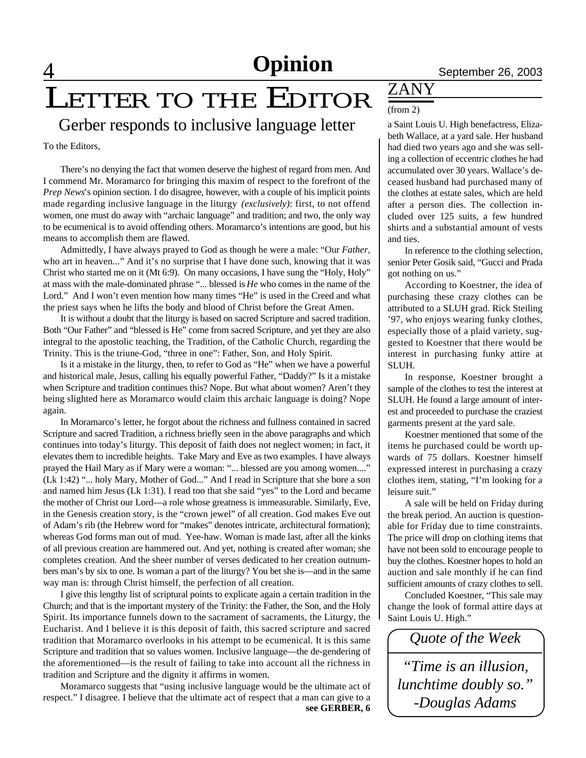### 4 **News** September 26, 2003 **Opinion**

# LETTER TO THE EDITOR

Gerber responds to inclusive language letter a Saint Louis U. High benefactress, Eliza-

To the Editors,

There's no denying the fact that women deserve the highest of regard from men. And I commend Mr. Moramarco for bringing this maxim of respect to the forefront of the *Prep News*'s opinion section. I do disagree, however, with a couple of his implicit points made regarding inclusive language in the liturgy *(exclusively)*: first, to not offend women, one must do away with "archaic language" and tradition; and two, the only way to be ecumenical is to avoid offending others. Moramarco's intentions are good, but his means to accomplish them are flawed.

Admittedly, I have always prayed to God as though he were a male: "Our *Father*, who art in heaven..." And it's no surprise that I have done such, knowing that it was Christ who started me on it (Mt 6:9). On many occasions, I have sung the "Holy, Holy" at mass with the male-dominated phrase "... blessed is *He* who comes in the name of the Lord." And I won't even mention how many times "He" is used in the Creed and what the priest says when he lifts the body and blood of Christ before the Great Amen.

It is without a doubt that the liturgy is based on sacred Scripture and sacred tradition. Both "Our Father" and "blessed is He" come from sacred Scripture, and yet they are also integral to the apostolic teaching, the Tradition, of the Catholic Church, regarding the Trinity. This is the triune-God, "three in one": Father, Son, and Holy Spirit.

Is it a mistake in the liturgy, then, to refer to God as "He" when we have a powerful and historical male, Jesus, calling his equally powerful Father, "Daddy?" Is it a mistake when Scripture and tradition continues this? Nope. But what about women? Aren't they being slighted here as Moramarco would claim this archaic language is doing? Nope again.

In Moramarco's letter, he forgot about the richness and fullness contained in sacred Scripture and sacred Tradition, a richness briefly seen in the above paragraphs and which continues into today's liturgy. This deposit of faith does not neglect women; in fact, it elevates them to incredible heights. Take Mary and Eve as two examples. I have always prayed the Hail Mary as if Mary were a woman: "... blessed are you among women...." (Lk 1:42) "... holy Mary, Mother of God..." And I read in Scripture that she bore a son and named him Jesus (Lk 1:31). I read too that she said "yes" to the Lord and became the mother of Christ our Lord—a role whose greatness is immeasurable. Similarly, Eve, in the Genesis creation story, is the "crown jewel" of all creation. God makes Eve out of Adam's rib (the Hebrew word for "makes" denotes intricate, architectural formation); whereas God forms man out of mud. Yee-haw. Woman is made last, after all the kinks of all previous creation are hammered out. And yet, nothing is created after woman; she completes creation. And the sheer number of verses dedicated to her creation outnumbers man's by six to one. Is woman a part of the liturgy? You bet she is—and in the same way man is: through Christ himself, the perfection of all creation.

I give this lengthy list of scriptural points to explicate again a certain tradition in the Church; and that is the important mystery of the Trinity: the Father, the Son, and the Holy Spirit. Its importance funnels down to the sacrament of sacraments, the Liturgy, the Eucharist. And I believe it is this deposit of faith, this sacred scripture and sacred tradition that Moramarco overlooks in his attempt to be ecumenical. It is this same Scripture and tradition that so values women. Inclusive language—the de-gendering of the aforementioned—is the result of failing to take into account all the richness in tradition and Scripture and the dignity it affirms in women.

Moramarco suggests that "using inclusive language would be the ultimate act of respect." I disagree. I believe that the ultimate act of respect that a man can give to a **see GERBER, 6**

### ZANY (from 2)

beth Wallace, at a yard sale. Her husband had died two years ago and she was selling a collection of eccentric clothes he had accumulated over 30 years. Wallace's deceased husband had purchased many of the clothes at estate sales, which are held after a person dies. The collection included over 125 suits, a few hundred shirts and a substantial amount of vests and ties.

In reference to the clothing selection, senior Peter Gosik said, "Gucci and Prada got nothing on us."

According to Koestner, the idea of purchasing these crazy clothes can be attributed to a SLUH grad. Rick Steiling '97, who enjoys wearing funky clothes, especially those of a plaid variety, suggested to Koestner that there would be interest in purchasing funky attire at SLUH.

In response, Koestner brought a sample of the clothes to test the interest at SLUH. He found a large amount of interest and proceeded to purchase the craziest garments present at the yard sale.

Koestner mentioned that some of the items he purchased could be worth upwards of 75 dollars. Koestner himself expressed interest in purchasing a crazy clothes item, stating, "I'm looking for a leisure suit."

A sale will be held on Friday during the break period. An auction is questionable for Friday due to time constraints. The price will drop on clothing items that have not been sold to encourage people to buy the clothes. Koestner hopes to hold an auction and sale monthly if he can find sufficient amounts of crazy clothes to sell.

Concluded Koestner, "This sale may change the look of formal attire days at Saint Louis U. High."

*Quote of the Week*

*"Time is an illusion, lunchtime doubly so." -Douglas Adams*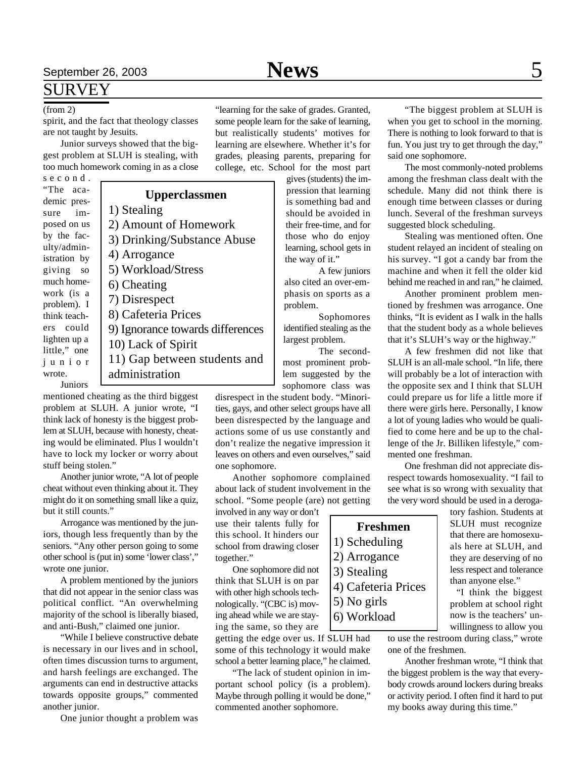### SURVEY

#### (from 2)

spirit, and the fact that theology classes are not taught by Jesuits.

Junior surveys showed that the biggest problem at SLUH is stealing, with too much homework coming in as a close

s e c o n d . "The academic pressure imposed on us by the faculty/administration by giving so much homework (is a problem). I think teachers could lighten up a little," one j u n i o r wrote.

**Upperclassmen** 1) Stealing 2) Amount of Homework 3) Drinking/Substance Abuse 4) Arrogance 5) Workload/Stress 6) Cheating 7) Disrespect 8) Cafeteria Prices 9) Ignorance towards differences 10) Lack of Spirit 11) Gap between students and administration

Juniors

mentioned cheating as the third biggest problem at SLUH. A junior wrote, "I think lack of honesty is the biggest problem at SLUH, because with honesty, cheating would be eliminated. Plus I wouldn't have to lock my locker or worry about stuff being stolen."

Another junior wrote, "A lot of people cheat without even thinking about it. They might do it on something small like a quiz, but it still counts."

Arrogance was mentioned by the juniors, though less frequently than by the seniors. "Any other person going to some other school is (put in) some 'lower class'," wrote one junior.

A problem mentioned by the juniors that did not appear in the senior class was political conflict. "An overwhelming majority of the school is liberally biased, and anti-Bush," claimed one junior.

"While I believe constructive debate is necessary in our lives and in school, often times discussion turns to argument, and harsh feelings are exchanged. The arguments can end in destructive attacks towards opposite groups," commented another junior.

One junior thought a problem was

"learning for the sake of grades. Granted, some people learn for the sake of learning, but realistically students' motives for learning are elsewhere. Whether it's for grades, pleasing parents, preparing for college, etc. School for the most part

gives (students) the impression that learning is something bad and should be avoided in their free-time, and for those who do enjoy learning, school gets in the way of it."

A few juniors also cited an over-emphasis on sports as a problem.

Sophomores identified stealing as the largest problem.

The secondmost prominent problem suggested by the sophomore class was

disrespect in the student body. "Minorities, gays, and other select groups have all been disrespected by the language and actions some of us use constantly and don't realize the negative impression it leaves on others and even ourselves," said one sophomore.

Another sophomore complained about lack of student involvement in the school. "Some people (are) not getting

involved in any way or don't use their talents fully for this school. It hinders our school from drawing closer together."

One sophomore did not think that SLUH is on par with other high schools technologically. "(CBC is) moving ahead while we are staying the same, so they are

getting the edge over us. If SLUH had some of this technology it would make school a better learning place," he claimed.

"The lack of student opinion in important school policy (is a problem). Maybe through polling it would be done," commented another sophomore.

"The biggest problem at SLUH is when you get to school in the morning. There is nothing to look forward to that is fun. You just try to get through the day," said one sophomore.

The most commonly-noted problems among the freshman class dealt with the schedule. Many did not think there is enough time between classes or during lunch. Several of the freshman surveys suggested block scheduling.

Stealing was mentioned often. One student relayed an incident of stealing on his survey. "I got a candy bar from the machine and when it fell the older kid behind me reached in and ran," he claimed.

Another prominent problem mentioned by freshmen was arrogance. One thinks, "It is evident as I walk in the halls that the student body as a whole believes that it's SLUH's way or the highway."

A few freshmen did not like that SLUH is an all-male school. "In life, there will probably be a lot of interaction with the opposite sex and I think that SLUH could prepare us for life a little more if there were girls here. Personally, I know a lot of young ladies who would be qualified to come here and be up to the challenge of the Jr. Billiken lifestyle," commented one freshman.

One freshman did not appreciate disrespect towards homosexuality. "I fail to see what is so wrong with sexuality that the very word should be used in a deroga-

> tory fashion. Students at SLUH must recognize that there are homosexuals here at SLUH, and they are deserving of no less respect and tolerance than anyone else."

> "I think the biggest problem at school right now is the teachers' unwillingness to allow you

to use the restroom during class," wrote one of the freshmen.

Another freshman wrote, "I think that the biggest problem is the way that everybody crowds around lockers during breaks or activity period. I often find it hard to put my books away during this time."

### **Freshmen** 1) Scheduling 2) Arrogance 3) Stealing 4) Cafeteria Prices 5) No girls 6) Workload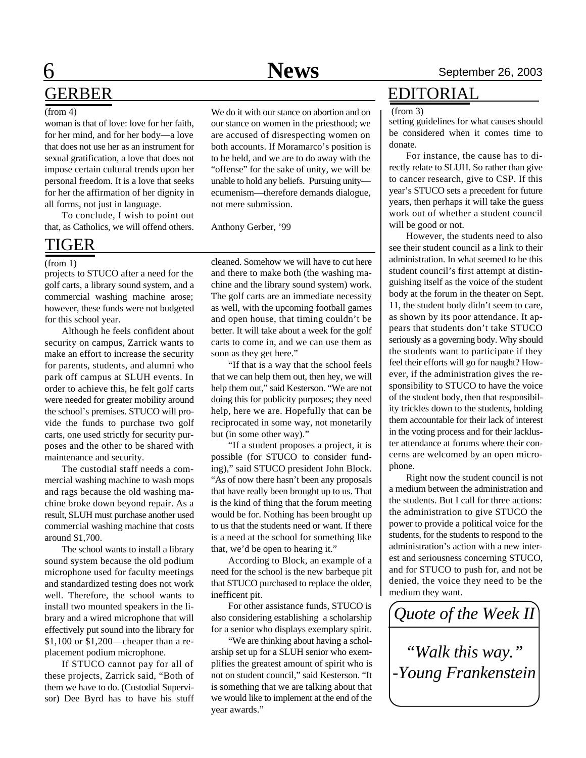# 6 **News** September 26, 2003 GERBER

#### (from 4)

woman is that of love: love for her faith, for her mind, and for her body—a love that does not use her as an instrument for sexual gratification, a love that does not impose certain cultural trends upon her personal freedom. It is a love that seeks for her the affirmation of her dignity in all forms, not just in language.

To conclude, I wish to point out that, as Catholics, we will offend others.

### TIGER

#### (from 1)

projects to STUCO after a need for the golf carts, a library sound system, and a commercial washing machine arose; however, these funds were not budgeted for this school year.

Although he feels confident about security on campus, Zarrick wants to make an effort to increase the security for parents, students, and alumni who park off campus at SLUH events. In order to achieve this, he felt golf carts were needed for greater mobility around the school's premises. STUCO will provide the funds to purchase two golf carts, one used strictly for security purposes and the other to be shared with maintenance and security.

The custodial staff needs a commercial washing machine to wash mops and rags because the old washing machine broke down beyond repair. As a result, SLUH must purchase another used commercial washing machine that costs around \$1,700.

The school wants to install a library sound system because the old podium microphone used for faculty meetings and standardized testing does not work well. Therefore, the school wants to install two mounted speakers in the library and a wired microphone that will effectively put sound into the library for \$1,100 or \$1,200—cheaper than a replacement podium microphone.

If STUCO cannot pay for all of these projects, Zarrick said, "Both of them we have to do. (Custodial Supervisor) Dee Byrd has to have his stuff We do it with our stance on abortion and on our stance on women in the priesthood; we are accused of disrespecting women on both accounts. If Moramarco's position is to be held, and we are to do away with the "offense" for the sake of unity, we will be unable to hold any beliefs. Pursuing unity ecumenism—therefore demands dialogue, not mere submission.

Anthony Gerber, '99

cleaned. Somehow we will have to cut here and there to make both (the washing machine and the library sound system) work. The golf carts are an immediate necessity as well, with the upcoming football games and open house, that timing couldn't be better. It will take about a week for the golf carts to come in, and we can use them as soon as they get here."

"If that is a way that the school feels that we can help them out, then hey, we will help them out," said Kesterson. "We are not doing this for publicity purposes; they need help, here we are. Hopefully that can be reciprocated in some way, not monetarily but (in some other way)."

"If a student proposes a project, it is possible (for STUCO to consider funding)," said STUCO president John Block. "As of now there hasn't been any proposals that have really been brought up to us. That is the kind of thing that the forum meeting would be for. Nothing has been brought up to us that the students need or want. If there is a need at the school for something like that, we'd be open to hearing it."

According to Block, an example of a need for the school is the new barbeque pit that STUCO purchased to replace the older, inefficent pit.

For other assistance funds, STUCO is also considering establishing a scholarship for a senior who displays exemplary spirit.

"We are thinking about having a scholarship set up for a SLUH senior who exemplifies the greatest amount of spirit who is not on student council," said Kesterson. "It is something that we are talking about that we would like to implement at the end of the year awards."

### EDITORIAL

#### (from 3)

setting guidelines for what causes should be considered when it comes time to donate.

For instance, the cause has to directly relate to SLUH. So rather than give to cancer research, give to CSP. If this year's STUCO sets a precedent for future years, then perhaps it will take the guess work out of whether a student council will be good or not.

However, the students need to also see their student council as a link to their administration. In what seemed to be this student council's first attempt at distinguishing itself as the voice of the student body at the forum in the theater on Sept. 11, the student body didn't seem to care, as shown by its poor attendance. It appears that students don't take STUCO seriously as a governing body. Why should the students want to participate if they feel their efforts will go for naught? However, if the administration gives the responsibility to STUCO to have the voice of the student body, then that responsibility trickles down to the students, holding them accountable for their lack of interest in the voting process and for their lackluster attendance at forums where their concerns are welcomed by an open microphone.

Right now the student council is not a medium between the administration and the students. But I call for three actions: the administration to give STUCO the power to provide a political voice for the students, for the students to respond to the administration's action with a new interest and seriousness concerning STUCO, and for STUCO to push for, and not be denied, the voice they need to be the medium they want.

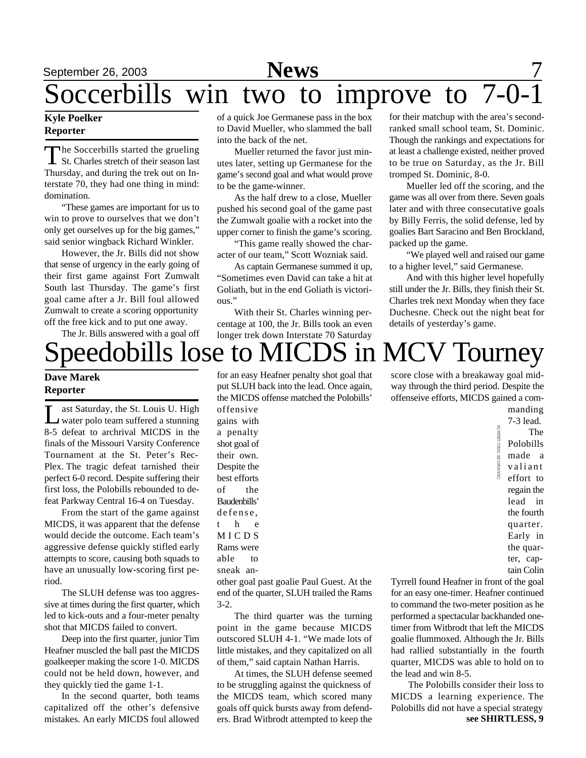# September 26, 2003 **News** 7

# Soccerbills win two to improve to

### **Kyle Poelker Reporter**

The Soccerbills started the grueling<br>St. Charles stretch of their season last<br>Thursday, and during the trek out on In-The Soccerbills started the grueling St. Charles stretch of their season last terstate 70, they had one thing in mind: domination.

"These games are important for us to win to prove to ourselves that we don't only get ourselves up for the big games," said senior wingback Richard Winkler.

However, the Jr. Bills did not show that sense of urgency in the early going of their first game against Fort Zumwalt South last Thursday. The game's first goal came after a Jr. Bill foul allowed Zumwalt to create a scoring opportunity off the free kick and to put one away. The Jr. Bills answered with a goal off of a quick Joe Germanese pass in the box to David Mueller, who slammed the ball into the back of the net.

Mueller returned the favor just minutes later, setting up Germanese for the game's second goal and what would prove to be the game-winner.

As the half drew to a close, Mueller pushed his second goal of the game past the Zumwalt goalie with a rocket into the upper corner to finish the game's scoring.

"This game really showed the character of our team," Scott Wozniak said.

As captain Germanese summed it up, "Sometimes even David can take a hit at Goliath, but in the end Goliath is victorious."

With their St. Charles winning percentage at 100, the Jr. Bills took an even longer trek down Interstate 70 Saturday

for their matchup with the area's secondranked small school team, St. Dominic. Though the rankings and expectations for at least a challenge existed, neither proved to be true on Saturday, as the Jr. Bill tromped St. Dominic, 8-0.

Mueller led off the scoring, and the game was all over from there. Seven goals later and with three consecutative goals by Billy Ferris, the solid defense, led by goalies Bart Saracino and Ben Brockland, packed up the game.

"We played well and raised our game to a higher level," said Germanese.

And with this higher level hopefully still under the Jr. Bills, they finish their St. Charles trek next Monday when they face Duchesne. Check out the night beat for details of yesterday's game.

# peedobills lose to MICDS in MCV Tourney

### **Dave Marek Reporter**

Let Saturday, the St. Louis U. High<br>water polo team suffered a stunning ast Saturday, the St. Louis U. High 8-5 defeat to archrival MICDS in the finals of the Missouri Varsity Conference Tournament at the St. Peter's Rec-Plex. The tragic defeat tarnished their perfect 6-0 record. Despite suffering their first loss, the Polobills rebounded to defeat Parkway Central 16-4 on Tuesday.

From the start of the game against MICDS, it was apparent that the defense would decide the outcome. Each team's aggressive defense quickly stifled early attempts to score, causing both squads to have an unusually low-scoring first period.

The SLUH defense was too aggressive at times during the first quarter, which led to kick-outs and a four-meter penalty shot that MICDS failed to convert.

Deep into the first quarter, junior Tim Heafner muscled the ball past the MICDS goalkeeper making the score 1-0. MICDS could not be held down, however, and they quickly tied the game 1-1.

In the second quarter, both teams capitalized off the other's defensive mistakes. An early MICDS foul allowed

for an easy Heafner penalty shot goal that put SLUH back into the lead. Once again, the MICDS offense matched the Polobills'

offensive gains with a penalty shot goal of their own. Despite the best efforts of the Baudenbills' defense, t h e M I C D S Rams were able to sneak anscore close with a breakaway goal midway through the third period. Despite the offenseive efforts, MICDS gained a commanding

7-3 lead. The Polobills made a valiant effort to regain the lead in the fourth quarter. Early in the quarter, captain Colin

other goal past goalie Paul Guest. At the end of the quarter, SLUH trailed the Rams 3-2.

The third quarter was the turning point in the game because MICDS outscored SLUH 4-1. "We made lots of little mistakes, and they capitalized on all of them," said captain Nathan Harris.

At times, the SLUH defense seemed to be struggling against the quickness of the MICDS team, which scored many goals off quick bursts away from defenders. Brad Witbrodt attempted to keep the Tyrrell found Heafner in front of the goal for an easy one-timer. Heafner continued to command the two-meter position as he performed a spectacular backhanded onetimer from Witbrodt that left the MICDS goalie flummoxed. Although the Jr. Bills had rallied substantially in the fourth quarter, MICDS was able to hold on to the lead and win 8-5.

The Polobills consider their loss to MICDS a learning experience. The Polobills did not have a special strategy **see SHIRTLESS, 9**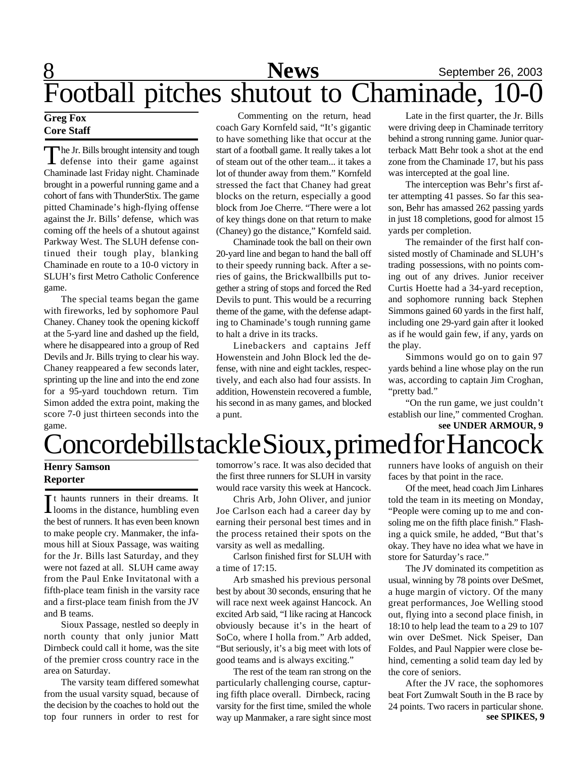# 8 **News** September 26, 2003 Football pitches shutout to Chaminade, 10-0

### **Greg Fox Core Staff**

The Jr. Bills brought intensity and tough<br>defense into their game against he Jr. Bills brought intensity and tough Chaminade last Friday night. Chaminade brought in a powerful running game and a cohort of fans with ThunderStix. The game pitted Chaminade's high-flying offense against the Jr. Bills' defense, which was coming off the heels of a shutout against Parkway West. The SLUH defense continued their tough play, blanking Chaminade en route to a 10-0 victory in SLUH's first Metro Catholic Conference game.

The special teams began the game with fireworks, led by sophomore Paul Chaney. Chaney took the opening kickoff at the 5-yard line and dashed up the field, where he disappeared into a group of Red Devils and Jr. Bills trying to clear his way. Chaney reappeared a few seconds later, sprinting up the line and into the end zone for a 95-yard touchdown return. Tim Simon added the extra point, making the score 7-0 just thirteen seconds into the game.

Commenting on the return, head coach Gary Kornfeld said, "It's gigantic to have something like that occur at the start of a football game. It really takes a lot of steam out of the other team... it takes a lot of thunder away from them." Kornfeld stressed the fact that Chaney had great blocks on the return, especially a good block from Joe Cherre. "There were a lot of key things done on that return to make (Chaney) go the distance," Kornfeld said.

Chaminade took the ball on their own 20-yard line and began to hand the ball off to their speedy running back. After a series of gains, the Brickwallbills put together a string of stops and forced the Red Devils to punt. This would be a recurring theme of the game, with the defense adapting to Chaminade's tough running game to halt a drive in its tracks.

Linebackers and captains Jeff Howenstein and John Block led the defense, with nine and eight tackles, respectively, and each also had four assists. In addition, Howenstein recovered a fumble, his second in as many games, and blocked a punt.

Late in the first quarter, the Jr. Bills were driving deep in Chaminade territory behind a strong running game. Junior quarterback Matt Behr took a shot at the end zone from the Chaminade 17, but his pass was intercepted at the goal line.

The interception was Behr's first after attempting 41 passes. So far this season, Behr has amassed 262 passing yards in just 18 completions, good for almost 15 yards per completion.

The remainder of the first half consisted mostly of Chaminade and SLUH's trading possessions, with no points coming out of any drives. Junior receiver Curtis Hoette had a 34-yard reception, and sophomore running back Stephen Simmons gained 60 yards in the first half, including one 29-yard gain after it looked as if he would gain few, if any, yards on the play.

Simmons would go on to gain 97 yards behind a line whose play on the run was, according to captain Jim Croghan, "pretty bad."

"On the run game, we just couldn't establish our line," commented Croghan. **see UNDER ARMOUR, 9**

# 'oncordebills tackle Sioux, primed for Hancock

### **Henry Samson Reporter**

It haunts runners in their dreams. It<br>Ilooms in the distance, humbling even It haunts runners in their dreams. It the best of runners. It has even been known to make people cry. Manmaker, the infamous hill at Sioux Passage, was waiting for the Jr. Bills last Saturday, and they were not fazed at all. SLUH came away from the Paul Enke Invitatonal with a fifth-place team finish in the varsity race and a first-place team finish from the JV and B teams.

Sioux Passage, nestled so deeply in north county that only junior Matt Dirnbeck could call it home, was the site of the premier cross country race in the area on Saturday.

The varsity team differed somewhat from the usual varsity squad, because of the decision by the coaches to hold out the top four runners in order to rest for

tomorrow's race. It was also decided that the first three runners for SLUH in varsity would race varsity this week at Hancock.

Chris Arb, John Oliver, and junior Joe Carlson each had a career day by earning their personal best times and in the process retained their spots on the varsity as well as medalling.

Carlson finished first for SLUH with a time of 17:15.

Arb smashed his previous personal best by about 30 seconds, ensuring that he will race next week against Hancock. An excited Arb said, "I like racing at Hancock obviously because it's in the heart of SoCo, where I holla from." Arb added, "But seriously, it's a big meet with lots of good teams and is always exciting."

The rest of the team ran strong on the particularly challenging course, capturing fifth place overall. Dirnbeck, racing varsity for the first time, smiled the whole way up Manmaker, a rare sight since most

runners have looks of anguish on their faces by that point in the race.

Of the meet, head coach Jim Linhares told the team in its meeting on Monday, "People were coming up to me and consoling me on the fifth place finish." Flashing a quick smile, he added, "But that's okay. They have no idea what we have in store for Saturday's race."

The JV dominated its competition as usual, winning by 78 points over DeSmet, a huge margin of victory. Of the many great performances, Joe Welling stood out, flying into a second place finish, in 18:10 to help lead the team to a 29 to 107 win over DeSmet. Nick Speiser, Dan Foldes, and Paul Nappier were close behind, cementing a solid team day led by the core of seniors.

After the JV race, the sophomores beat Fort Zumwalt South in the B race by 24 points. Two racers in particular shone. **see SPIKES, 9**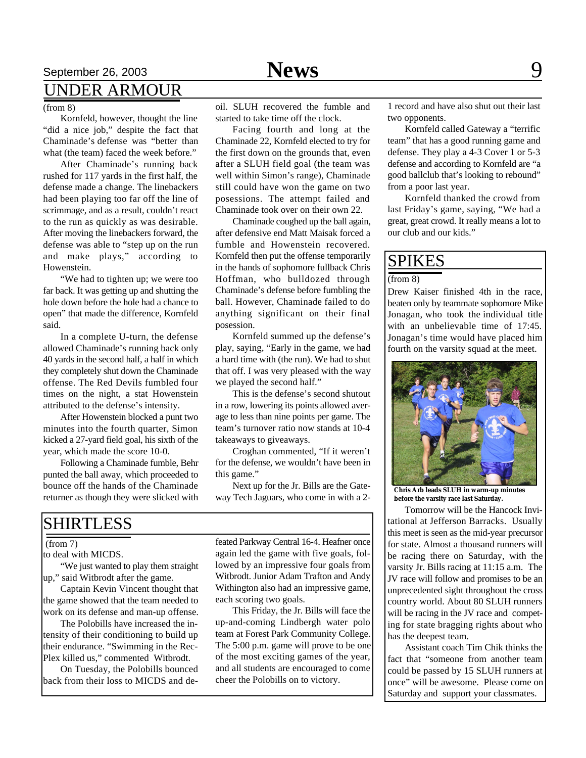## September 26, 2003 **News** 9 UNDER ARMOUR

### (from 8)

Kornfeld, however, thought the line "did a nice job," despite the fact that Chaminade's defense was "better than what (the team) faced the week before."

After Chaminade's running back rushed for 117 yards in the first half, the defense made a change. The linebackers had been playing too far off the line of scrimmage, and as a result, couldn't react to the run as quickly as was desirable. After moving the linebackers forward, the defense was able to "step up on the run and make plays," according to Howenstein.

"We had to tighten up; we were too far back. It was getting up and shutting the hole down before the hole had a chance to open" that made the difference, Kornfeld said.

In a complete U-turn, the defense allowed Chaminade's running back only 40 yards in the second half, a half in which they completely shut down the Chaminade offense. The Red Devils fumbled four times on the night, a stat Howenstein attributed to the defense's intensity.

After Howenstein blocked a punt two minutes into the fourth quarter, Simon kicked a 27-yard field goal, his sixth of the year, which made the score 10-0.

Following a Chaminade fumble, Behr punted the ball away, which proceeded to bounce off the hands of the Chaminade returner as though they were slicked with

oil. SLUH recovered the fumble and started to take time off the clock.

Facing fourth and long at the Chaminade 22, Kornfeld elected to try for the first down on the grounds that, even after a SLUH field goal (the team was well within Simon's range), Chaminade still could have won the game on two posessions. The attempt failed and Chaminade took over on their own 22.

Chaminade coughed up the ball again, after defensive end Matt Maisak forced a fumble and Howenstein recovered. Kornfeld then put the offense temporarily in the hands of sophomore fullback Chris Hoffman, who bulldozed through Chaminade's defense before fumbling the ball. However, Chaminade failed to do anything significant on their final posession.

Kornfeld summed up the defense's play, saying, "Early in the game, we had a hard time with (the run). We had to shut that off. I was very pleased with the way we played the second half."

This is the defense's second shutout in a row, lowering its points allowed average to less than nine points per game. The team's turnover ratio now stands at 10-4 takeaways to giveaways.

Croghan commented, "If it weren't for the defense, we wouldn't have been in this game."

Next up for the Jr. Bills are the Gateway Tech Jaguars, who come in with a 2-

### SHIRTLESS

(from 7)

to deal with MICDS.

"We just wanted to play them straight up," said Witbrodt after the game.

Captain Kevin Vincent thought that the game showed that the team needed to work on its defense and man-up offense.

The Polobills have increased the intensity of their conditioning to build up their endurance. "Swimming in the Rec-Plex killed us," commented Witbrodt.

On Tuesday, the Polobills bounced back from their loss to MICDS and defeated Parkway Central 16-4. Heafner once again led the game with five goals, followed by an impressive four goals from Witbrodt. Junior Adam Trafton and Andy Withington also had an impressive game, each scoring two goals.

This Friday, the Jr. Bills will face the up-and-coming Lindbergh water polo team at Forest Park Community College. The 5:00 p.m. game will prove to be one of the most exciting games of the year, and all students are encouraged to come cheer the Polobills on to victory.

1 record and have also shut out their last two opponents.

Kornfeld called Gateway a "terrific team" that has a good running game and defense. They play a 4-3 Cover 1 or 5-3 defense and according to Kornfeld are "a good ballclub that's looking to rebound" from a poor last year.

Kornfeld thanked the crowd from last Friday's game, saying, "We had a great, great crowd. It really means a lot to our club and our kids."

### SPIKES

 $(from 8)$ 

Drew Kaiser finished 4th in the race, beaten only by teammate sophomore Mike Jonagan, who took the individual title with an unbelievable time of 17:45. Jonagan's time would have placed him fourth on the varsity squad at the meet.



**Chris Arb leads SLUH in warm-up minutes before the varsity race last Saturday.**

Tomorrow will be the Hancock Invitational at Jefferson Barracks. Usually this meet is seen as the mid-year precursor for state. Almost a thousand runners will be racing there on Saturday, with the varsity Jr. Bills racing at 11:15 a.m. The JV race will follow and promises to be an unprecedented sight throughout the cross country world. About 80 SLUH runners will be racing in the JV race and competing for state bragging rights about who has the deepest team.

Assistant coach Tim Chik thinks the fact that "someone from another team could be passed by 15 SLUH runners at once" will be awesome. Please come on Saturday and support your classmates.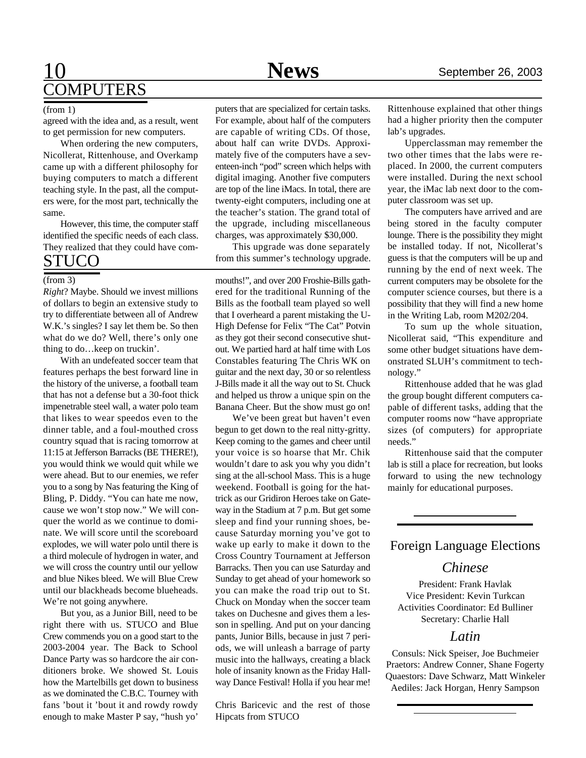# 10 **News** September 26, 2003 **COMPUTERS**

agreed with the idea and, as a result, went to get permission for new computers.

When ordering the new computers, Nicollerat, Rittenhouse, and Overkamp came up with a different philosophy for buying computers to match a different teaching style. In the past, all the computers were, for the most part, technically the same.

However, this time, the computer staff identified the specific needs of each class. They realized that they could have com-STUCO

### (from 3)

*Right*? Maybe. Should we invest millions of dollars to begin an extensive study to try to differentiate between all of Andrew W.K.'s singles? I say let them be. So then what do we do? Well, there's only one thing to do…keep on truckin'.

With an undefeated soccer team that features perhaps the best forward line in the history of the universe, a football team that has not a defense but a 30-foot thick impenetrable steel wall, a water polo team that likes to wear speedos even to the dinner table, and a foul-mouthed cross country squad that is racing tomorrow at 11:15 at Jefferson Barracks (BE THERE!), you would think we would quit while we were ahead. But to our enemies, we refer you to a song by Nas featuring the King of Bling, P. Diddy. "You can hate me now, cause we won't stop now." We will conquer the world as we continue to dominate. We will score until the scoreboard explodes, we will water polo until there is a third molecule of hydrogen in water, and we will cross the country until our yellow and blue Nikes bleed. We will Blue Crew until our blackheads become blueheads. We're not going anywhere.

But you, as a Junior Bill, need to be right there with us. STUCO and Blue Crew commends you on a good start to the 2003-2004 year. The Back to School Dance Party was so hardcore the air conditioners broke. We showed St. Louis how the Martelbills get down to business as we dominated the C.B.C. Tourney with fans 'bout it 'bout it and rowdy rowdy enough to make Master P say, "hush yo'

(from 1) puters that are specialized for certain tasks. For example, about half of the computers are capable of writing CDs. Of those, about half can write DVDs. Approximately five of the computers have a seventeen-inch "pod" screen which helps with digital imaging. Another five computers are top of the line iMacs. In total, there are twenty-eight computers, including one at the teacher's station. The grand total of the upgrade, including miscellaneous charges, was approximately \$30,000.

This upgrade was done separately from this summer's technology upgrade.

mouths!", and over 200 Froshie-Bills gathered for the traditional Running of the Bills as the football team played so well that I overheard a parent mistaking the U-High Defense for Felix "The Cat" Potvin as they got their second consecutive shutout. We partied hard at half time with Los Constables featuring The Chris WK on guitar and the next day, 30 or so relentless J-Bills made it all the way out to St. Chuck and helped us throw a unique spin on the Banana Cheer. But the show must go on!

We've been great but haven't even begun to get down to the real nitty-gritty. Keep coming to the games and cheer until your voice is so hoarse that Mr. Chik wouldn't dare to ask you why you didn't sing at the all-school Mass. This is a huge weekend. Football is going for the hattrick as our Gridiron Heroes take on Gateway in the Stadium at 7 p.m. But get some sleep and find your running shoes, because Saturday morning you've got to wake up early to make it down to the Cross Country Tournament at Jefferson Barracks. Then you can use Saturday and Sunday to get ahead of your homework so you can make the road trip out to St. Chuck on Monday when the soccer team takes on Duchesne and gives them a lesson in spelling. And put on your dancing pants, Junior Bills, because in just 7 periods, we will unleash a barrage of party music into the hallways, creating a black hole of insanity known as the Friday Hallway Dance Festival! Holla if you hear me!

Chris Baricevic and the rest of those Hipcats from STUCO

Rittenhouse explained that other things had a higher priority then the computer lab's upgrades.

Upperclassman may remember the two other times that the labs were replaced. In 2000, the current computers were installed. During the next school year, the iMac lab next door to the computer classroom was set up.

The computers have arrived and are being stored in the faculty computer lounge. There is the possibility they might be installed today. If not, Nicollerat's guess is that the computers will be up and running by the end of next week. The current computers may be obsolete for the computer science courses, but there is a possibility that they will find a new home in the Writing Lab, room M202/204.

To sum up the whole situation, Nicollerat said, "This expenditure and some other budget situations have demonstrated SLUH's commitment to technology."

Rittenhouse added that he was glad the group bought different computers capable of different tasks, adding that the computer rooms now "have appropriate sizes (of computers) for appropriate needs."

Rittenhouse said that the computer lab is still a place for recreation, but looks forward to using the new technology mainly for educational purposes.

### Foreign Language Elections

### *Chinese*

President: Frank Havlak Vice President: Kevin Turkcan Activities Coordinator: Ed Bulliner Secretary: Charlie Hall

### *Latin*

Consuls: Nick Speiser, Joe Buchmeier Praetors: Andrew Conner, Shane Fogerty Quaestors: Dave Schwarz, Matt Winkeler Aediles: Jack Horgan, Henry Sampson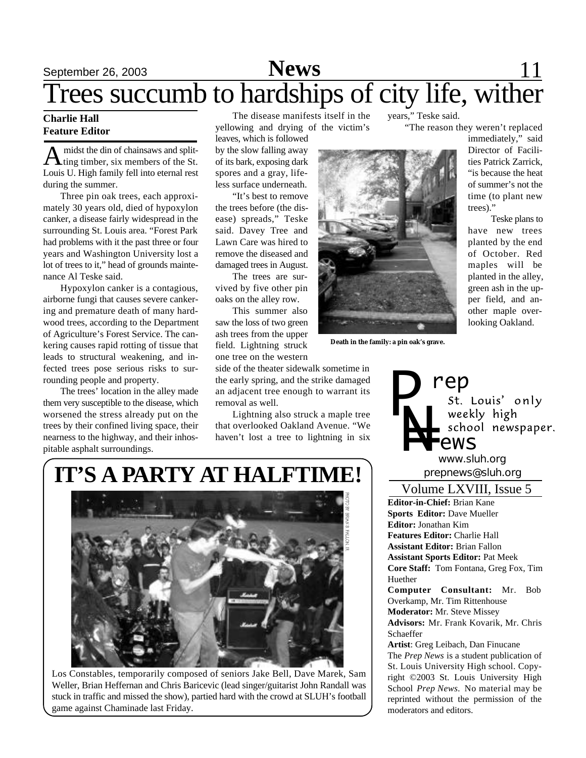# September 26, 2003 **News** 11 Trees succumb to hardships of city life, wither

### **Charlie Hall Feature Editor**

A midst the din of chainsaws and split-<br>ting timber, six members of the St. midst the din of chainsaws and split-Louis U. High family fell into eternal rest during the summer.

Three pin oak trees, each approximately 30 years old, died of hypoxylon canker, a disease fairly widespread in the surrounding St. Louis area. "Forest Park had problems with it the past three or four years and Washington University lost a lot of trees to it," head of grounds maintenance Al Teske said.

Hypoxylon canker is a contagious, airborne fungi that causes severe cankering and premature death of many hardwood trees, according to the Department of Agriculture's Forest Service. The cankering causes rapid rotting of tissue that leads to structural weakening, and infected trees pose serious risks to surrounding people and property.

The trees' location in the alley made them very susceptible to the disease, which worsened the stress already put on the trees by their confined living space, their nearness to the highway, and their inhospitable asphalt surroundings.

The disease manifests itself in the yellowing and drying of the victim's

leaves, which is followed by the slow falling away of its bark, exposing dark spores and a gray, lifeless surface underneath.

"It's best to remove the trees before (the disease) spreads," Teske said. Davey Tree and Lawn Care was hired to remove the diseased and damaged trees in August.

The trees are survived by five other pin oaks on the alley row.

This summer also saw the loss of two green ash trees from the upper field. Lightning struck one tree on the western

side of the theater sidewalk sometime in the early spring, and the strike damaged an adjacent tree enough to warrant its removal as well.

Lightning also struck a maple tree that overlooked Oakland Avenue. "We haven't lost a tree to lightning in six



**Death in the family: a pin oak's grave.**

"The reason they weren't replaced

years," Teske said.

immediately," said Director of Facilities Patrick Zarrick, "is because the heat of summer's not the time (to plant new trees)."

Teske plans to have new trees planted by the end of October. Red maples will be planted in the alley, green ash in the upper field, and another maple overlooking Oakland.



*prepnews@sluh.org www.sluh.org*

**Editor-in-Chief:** Brian Kane **Sports Editor:** Dave Mueller **Editor:** Jonathan Kim **Features Editor:** Charlie Hall **Assistant Editor:** Brian Fallon **Assistant Sports Editor:** Pat Meek **Core Staff:** Tom Fontana, Greg Fox, Tim Huether **Computer Consultant:** Mr. Bob Overkamp, Mr. Tim Rittenhouse Volume LXVIII, Issue 5

**Moderator:** Mr. Steve Missey **Advisors:** Mr. Frank Kovarik, Mr. Chris Schaeffer

**Artist**: Greg Leibach, Dan Finucane The *Prep News* is a student publication of St. Louis University High school. Copyright ©2003 St. Louis University High School *Prep News.* No material may be reprinted without the permission of the moderators and editors.

# **IT'S A PARTY AT HALFTIME!**



Los Constables, temporarily composed of seniors Jake Bell, Dave Marek, Sam Weller, Brian Heffernan and Chris Baricevic (lead singer/guitarist John Randall was stuck in traffic and missed the show), partied hard with the crowd at SLUH's football game against Chaminade last Friday.